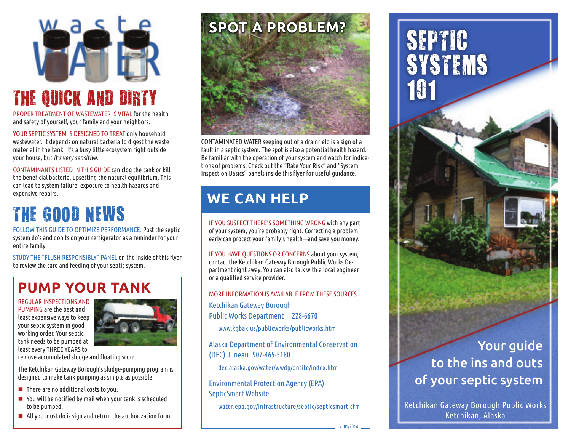

# THE QUICK AND DIRTY

Proper treatment of wastewater is vital for the health and safety of yourself, your family and your neighbors.

YOUR SEPTIC SYSTEM IS DESIGNED TO TREAT only household wastewater. It depends on natural bacteria to digest the waste material in the tank. It's a busy little ecosystem right outside your house, but it's very sensitive.

Contaminants listed in this guide can clog the tank or kill the beneficial bacteria, upsetting the natural equilibrium. This can lead to system failure, exposure to health hazards and expensive repairs.

# THE GOOD NEWS

follow this guide to optimize performance. Post the septic system do's and don'ts on your refrigerator as a reminder for your entire family.

study The "Flush Responsibly" panel on the inside of this flyer to review the care and feeding of your septic system.

## **pump your TANK**

Regular inspections and pumping are the best and least expensive ways to keep your septic system in good working order. Your septic tank needs to be pumped at least every THREE YEARS to



remove accumulated sludge and floating scum.

The Ketchikan Gateway Borough's sludge-pumping program is designed to make tank pumping as simple as possible:

- There are no additional costs to you.
- $\blacksquare$  You will be notified by mail when your tank is scheduled   to be pumped.
- All you must do is sign and return the authorization form.



Contaminated water seeping out of a drainfield is a sign of a fault in a septic system. The spot is also a potential health hazard. Be familiar with the operation of your system and watch for indications of problems. Check out the "Rate Your Risk" and "System Inspection Basics" panels inside this flyer for useful guidance.

## **WE CAN HELP**

If you suspect there's something wrong with any part of your system, you're probably right. Correcting a problem early can protect your family's health—and save you money.

If you have questions or concerns about your system, contact the Ketchikan Gateway Borough Public Works Department right away. You can also talk with a local engineer or a qualified service provider.

#### more information is available from these sources

Ketchikan Gateway Borough Public Works Department 228-6670

www.kgbak.us/publicworks/publicworks.htm

Alaska Department of Environmental Conservation (DEC) Juneau 907-465-5180

dec.alaska.gov/water/wwdp/onsite/index.htm

Environmental Protection Agency (EPA) SepticSmart Website

water.epa.gov/infrastructure/septic/septicsmart.cfm

# septic **SYSTEMS** 101



### Your guide to the ins and outs of your septic system

Ketchikan Gateway Borough Public Works Ketchikan, Alaska